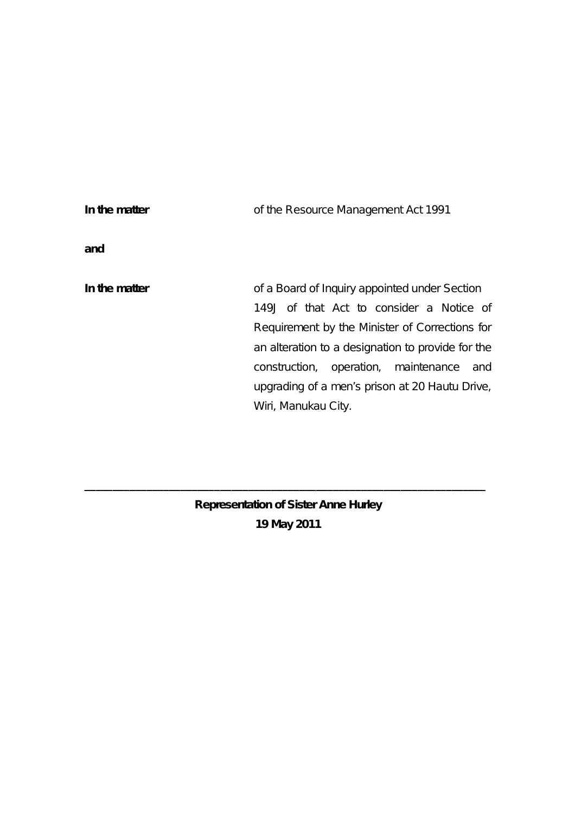| In the matter | of the Resource Management Act 1991                                                                                                                                                                                                                                                                                      |
|---------------|--------------------------------------------------------------------------------------------------------------------------------------------------------------------------------------------------------------------------------------------------------------------------------------------------------------------------|
| and           |                                                                                                                                                                                                                                                                                                                          |
| In the matter | of a Board of Inquiry appointed under Section<br>149J of that Act to consider a Notice of<br>Requirement by the Minister of Corrections for<br>an alteration to a designation to provide for the<br>construction, operation, maintenance<br>and<br>upgrading of a men's prison at 20 Hautu Drive,<br>Wiri, Manukau City. |

**Representation of Sister Anne Hurley 19 May 2011**

**\_\_\_\_\_\_\_\_\_\_\_\_\_\_\_\_\_\_\_\_\_\_\_\_\_\_\_\_\_\_\_\_\_\_\_\_\_\_\_\_\_\_\_\_\_\_\_\_\_\_\_\_\_\_\_\_\_\_\_\_\_\_\_\_\_\_\_\_\_\_\_**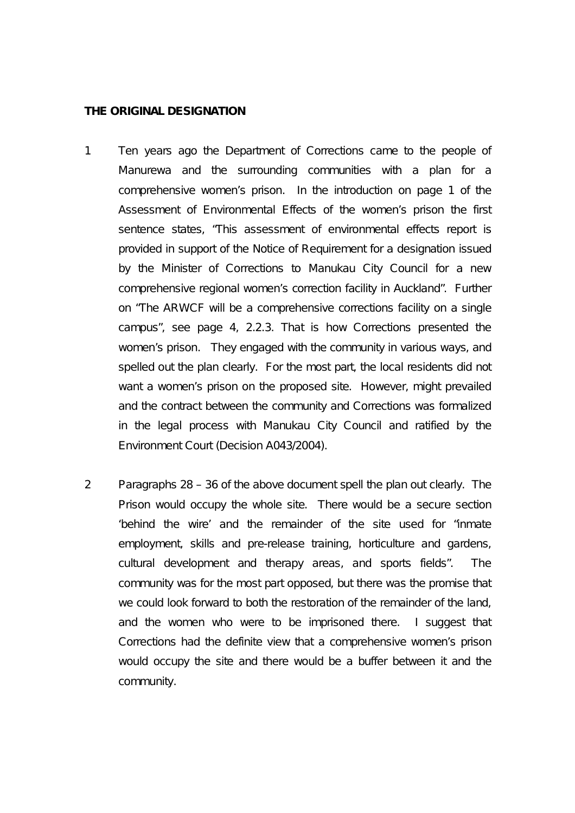#### **THE ORIGINAL DESIGNATION**

- 1 Ten years ago the Department of Corrections came to the people of Manurewa and the surrounding communities with a plan for a comprehensive women's prison. In the introduction on page 1 of the Assessment of Environmental Effects of the women's prison the first sentence states, "This assessment of environmental effects report is provided in support of the Notice of Requirement for a designation issued by the Minister of Corrections to Manukau City Council for a new comprehensive regional women's correction facility in Auckland". Further on "The ARWCF will be a comprehensive corrections facility on a single campus", see page 4, 2.2.3. That is how Corrections presented the women's prison. They engaged with the community in various ways, and spelled out the plan clearly. For the most part, the local residents did not want a women's prison on the proposed site. However, might prevailed and the contract between the community and Corrections was formalized in the legal process with Manukau City Council and ratified by the Environment Court (Decision A043/2004).
- 2 Paragraphs 28 36 of the above document spell the plan out clearly. The Prison would occupy the whole site. There would be a secure section 'behind the wire' and the remainder of the site used for "inmate employment, skills and pre-release training, horticulture and gardens, cultural development and therapy areas, and sports fields". The community was for the most part opposed, but there was the promise that we could look forward to both the restoration of the remainder of the land, and the women who were to be imprisoned there. I suggest that Corrections had the definite view that a comprehensive women's prison would occupy the site and there would be a buffer between it and the community.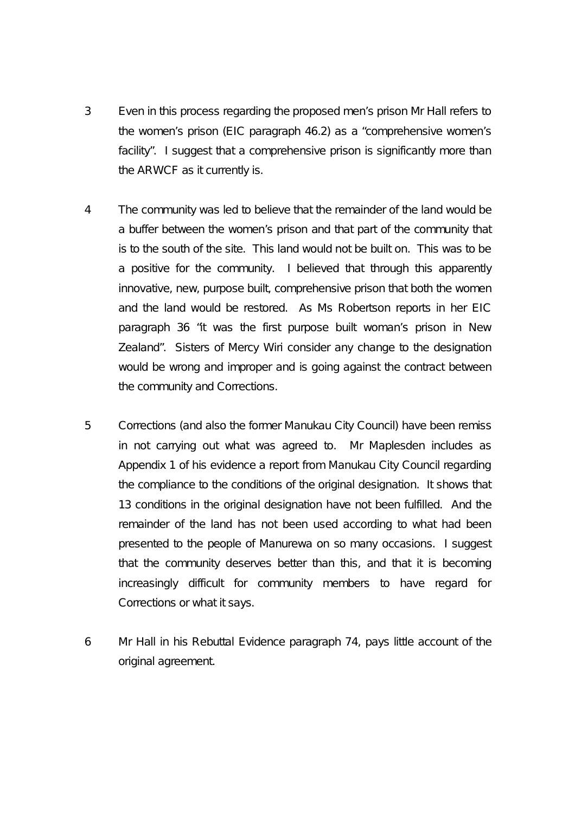- 3 Even in this process regarding the proposed men's prison Mr Hall refers to the women's prison (EIC paragraph 46.2) as a "comprehensive women's facility". I suggest that a comprehensive prison is significantly more than the ARWCF as it currently is.
- 4 The community was led to believe that the remainder of the land would be a buffer between the women's prison and that part of the community that is to the south of the site. This land would not be built on. This was to be a positive for the community. I believed that through this apparently innovative, new, purpose built, comprehensive prison that both the women and the land would be restored. As Ms Robertson reports in her EIC paragraph 36 "it was the first purpose built woman's prison in New Zealand". Sisters of Mercy Wiri consider any change to the designation would be wrong and improper and is going against the contract between the community and Corrections.
- 5 Corrections (and also the former Manukau City Council) have been remiss in not carrying out what was agreed to. Mr Maplesden includes as Appendix 1 of his evidence a report from Manukau City Council regarding the compliance to the conditions of the original designation. It shows that 13 conditions in the original designation have not been fulfilled. And the remainder of the land has not been used according to what had been presented to the people of Manurewa on so many occasions. I suggest that the community deserves better than this, and that it is becoming increasingly difficult for community members to have regard for Corrections or what it says.
- 6 Mr Hall in his Rebuttal Evidence paragraph 74, pays little account of the original agreement.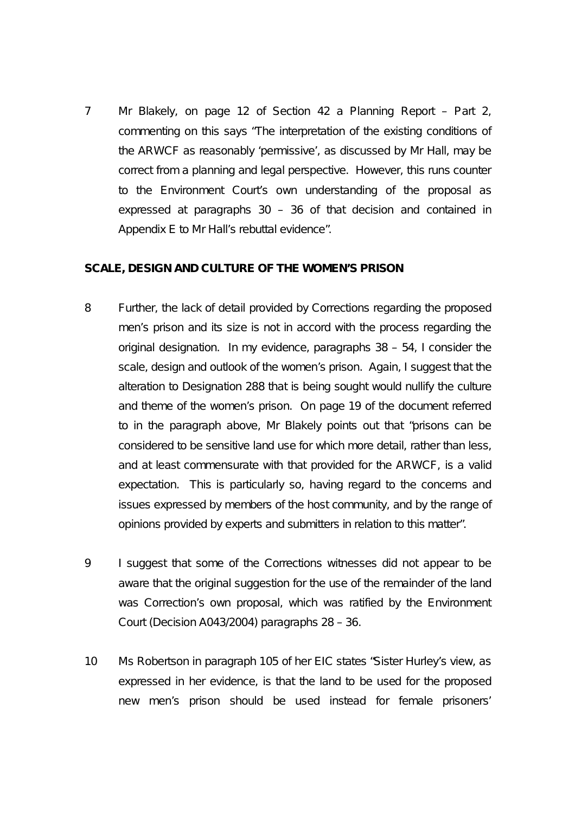7 Mr Blakely, on page 12 of Section 42 a Planning Report – Part 2, commenting on this says "The interpretation of the existing conditions of the ARWCF as reasonably 'permissive', as discussed by Mr Hall, may be correct from a planning and legal perspective. However, this runs counter to the Environment Court's own understanding of the proposal as expressed at paragraphs 30 – 36 of that decision and contained in Appendix E to Mr Hall's rebuttal evidence".

#### **SCALE, DESIGN AND CULTURE OF THE WOMEN'S PRISON**

- 8 Further, the lack of detail provided by Corrections regarding the proposed men's prison and its size is not in accord with the process regarding the original designation. In my evidence, paragraphs 38 – 54, I consider the scale, design and outlook of the women's prison. Again, I suggest that the alteration to Designation 288 that is being sought would nullify the culture and theme of the women's prison. On page 19 of the document referred to in the paragraph above, Mr Blakely points out that "prisons can be considered to be sensitive land use for which more detail, rather than less, and at least commensurate with that provided for the ARWCF, is a valid expectation. This is particularly so, having regard to the concerns and issues expressed by members of the host community, and by the range of opinions provided by experts and submitters in relation to this matter".
- 9 I suggest that some of the Corrections witnesses did not appear to be aware that the original suggestion for the use of the remainder of the land was Correction's own proposal, which was ratified by the Environment Court (Decision A043/2004) paragraphs 28 – 36.
- 10 Ms Robertson in paragraph 105 of her EIC states "Sister Hurley's view, as expressed in her evidence, is that the land to be used for the proposed new men's prison should be used instead for female prisoners'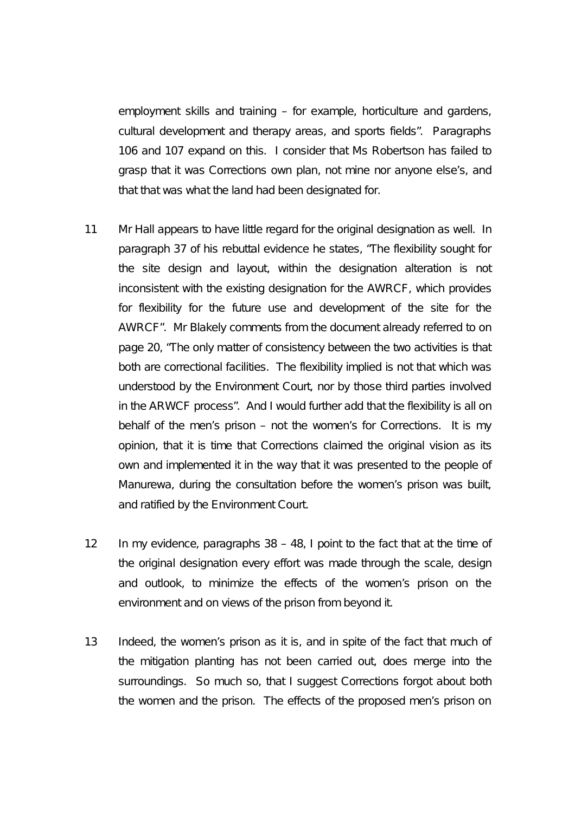employment skills and training – for example, horticulture and gardens, cultural development and therapy areas, and sports fields". Paragraphs 106 and 107 expand on this. I consider that Ms Robertson has failed to grasp that it was Corrections own plan, not mine nor anyone else's, and that that was what the land had been designated for.

- 11 Mr Hall appears to have little regard for the original designation as well. In paragraph 37 of his rebuttal evidence he states, "The flexibility sought for the site design and layout, within the designation alteration is not inconsistent with the existing designation for the AWRCF, which provides for flexibility for the future use and development of the site for the AWRCF". Mr Blakely comments from the document already referred to on page 20, "The only matter of consistency between the two activities is that both are correctional facilities. The flexibility implied is not that which was understood by the Environment Court, nor by those third parties involved in the ARWCF process". And I would further add that the flexibility is all on behalf of the men's prison – not the women's for Corrections. It is my opinion, that it is time that Corrections claimed the original vision as its own and implemented it in the way that it was presented to the people of Manurewa, during the consultation before the women's prison was built, and ratified by the Environment Court.
- 12 In my evidence, paragraphs 38 48, I point to the fact that at the time of the original designation every effort was made through the scale, design and outlook, to minimize the effects of the women's prison on the environment and on views of the prison from beyond it.
- 13 Indeed, the women's prison as it is, and in spite of the fact that much of the mitigation planting has not been carried out, does merge into the surroundings. So much so, that I suggest Corrections forgot about both the women and the prison. The effects of the proposed men's prison on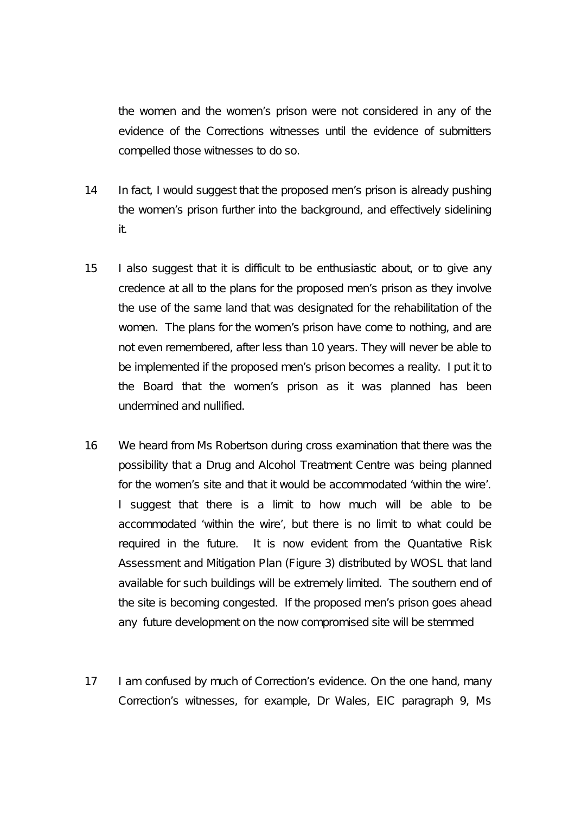the women and the women's prison were not considered in any of the evidence of the Corrections witnesses until the evidence of submitters compelled those witnesses to do so.

- 14 In fact, I would suggest that the proposed men's prison is already pushing the women's prison further into the background, and effectively sidelining it.
- 15 I also suggest that it is difficult to be enthusiastic about, or to give any credence at all to the plans for the proposed men's prison as they involve the use of the same land that was designated for the rehabilitation of the women. The plans for the women's prison have come to nothing, and are not even remembered, after less than 10 years. They will never be able to be implemented if the proposed men's prison becomes a reality. I put it to the Board that the women's prison as it was planned has been undermined and nullified.
- 16 We heard from Ms Robertson during cross examination that there was the possibility that a Drug and Alcohol Treatment Centre was being planned for the women's site and that it would be accommodated 'within the wire'. I suggest that there is a limit to how much will be able to be accommodated 'within the wire', but there is no limit to what could be required in the future. It is now evident from the Quantative Risk Assessment and Mitigation Plan (Figure 3) distributed by WOSL that land available for such buildings will be extremely limited. The southern end of the site is becoming congested. If the proposed men's prison goes ahead any future development on the now compromised site will be stemmed
- 17 I am confused by much of Correction's evidence. On the one hand, many Correction's witnesses, for example, Dr Wales, EIC paragraph 9, Ms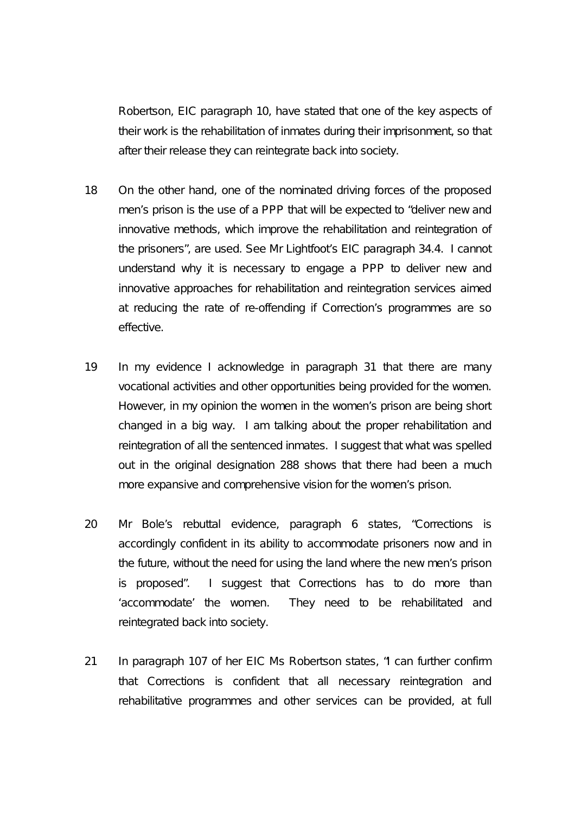Robertson, EIC paragraph 10, have stated that one of the key aspects of their work is the rehabilitation of inmates during their imprisonment, so that after their release they can reintegrate back into society.

- 18 On the other hand, one of the nominated driving forces of the proposed men's prison is the use of a PPP that will be expected to "deliver new and innovative methods, which improve the rehabilitation and reintegration of the prisoners", are used. See Mr Lightfoot's EIC paragraph 34.4. I cannot understand why it is necessary to engage a PPP to deliver new and innovative approaches for rehabilitation and reintegration services aimed at reducing the rate of re-offending if Correction's programmes are so effective.
- 19 In my evidence I acknowledge in paragraph 31 that there are many vocational activities and other opportunities being provided for the women. However, in my opinion the women in the women's prison are being short changed in a big way. I am talking about the proper rehabilitation and reintegration of all the sentenced inmates. I suggest that what was spelled out in the original designation 288 shows that there had been a much more expansive and comprehensive vision for the women's prison.
- 20 Mr Bole's rebuttal evidence, paragraph 6 states, "Corrections is accordingly confident in its ability to accommodate prisoners now and in the future, without the need for using the land where the new men's prison is proposed". I suggest that Corrections has to do more than 'accommodate' the women. They need to be rehabilitated and reintegrated back into society.
- 21 In paragraph 107 of her EIC Ms Robertson states, "I can further confirm that Corrections is confident that all necessary reintegration and rehabilitative programmes and other services can be provided, at full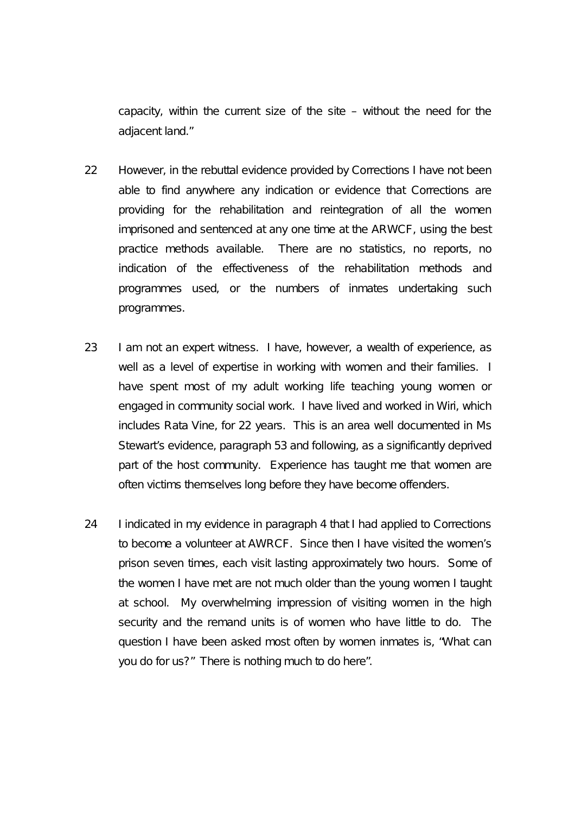capacity, within the current size of the site – without the need for the adjacent land."

- 22 However, in the rebuttal evidence provided by Corrections I have not been able to find anywhere any indication or evidence that Corrections are providing for the rehabilitation and reintegration of all the women imprisoned and sentenced at any one time at the ARWCF, using the best practice methods available. There are no statistics, no reports, no indication of the effectiveness of the rehabilitation methods and programmes used, or the numbers of inmates undertaking such programmes.
- 23 I am not an expert witness. I have, however, a wealth of experience, as well as a level of expertise in working with women and their families. I have spent most of my adult working life teaching young women or engaged in community social work. I have lived and worked in Wiri, which includes Rata Vine, for 22 years. This is an area well documented in Ms Stewart's evidence, paragraph 53 and following, as a significantly deprived part of the host community. Experience has taught me that women are often victims themselves long before they have become offenders.
- 24 I indicated in my evidence in paragraph 4 that I had applied to Corrections to become a volunteer at AWRCF. Since then I have visited the women's prison seven times, each visit lasting approximately two hours. Some of the women I have met are not much older than the young women I taught at school. My overwhelming impression of visiting women in the high security and the remand units is of women who have little to do. The question I have been asked most often by women inmates is, "What can you do for us?" There is nothing much to do here".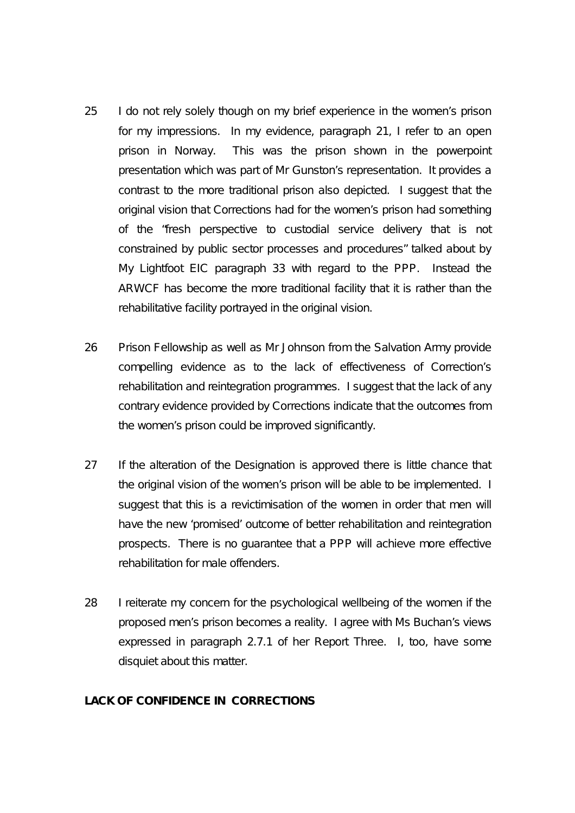- 25 I do not rely solely though on my brief experience in the women's prison for my impressions. In my evidence, paragraph 21, I refer to an open prison in Norway. This was the prison shown in the powerpoint presentation which was part of Mr Gunston's representation. It provides a contrast to the more traditional prison also depicted. I suggest that the original vision that Corrections had for the women's prison had something of the "fresh perspective to custodial service delivery that is not constrained by public sector processes and procedures" talked about by My Lightfoot EIC paragraph 33 with regard to the PPP. Instead the ARWCF has become the more traditional facility that it is rather than the rehabilitative facility portrayed in the original vision.
- 26 Prison Fellowship as well as Mr Johnson from the Salvation Army provide compelling evidence as to the lack of effectiveness of Correction's rehabilitation and reintegration programmes. I suggest that the lack of any contrary evidence provided by Corrections indicate that the outcomes from the women's prison could be improved significantly.
- 27 If the alteration of the Designation is approved there is little chance that the original vision of the women's prison will be able to be implemented. I suggest that this is a revictimisation of the women in order that men will have the new 'promised' outcome of better rehabilitation and reintegration prospects. There is no guarantee that a PPP will achieve more effective rehabilitation for male offenders.
- 28 I reiterate my concern for the psychological wellbeing of the women if the proposed men's prison becomes a reality. I agree with Ms Buchan's views expressed in paragraph 2.7.1 of her Report Three. I, too, have some disquiet about this matter.

## **LACK OF CONFIDENCE IN CORRECTIONS**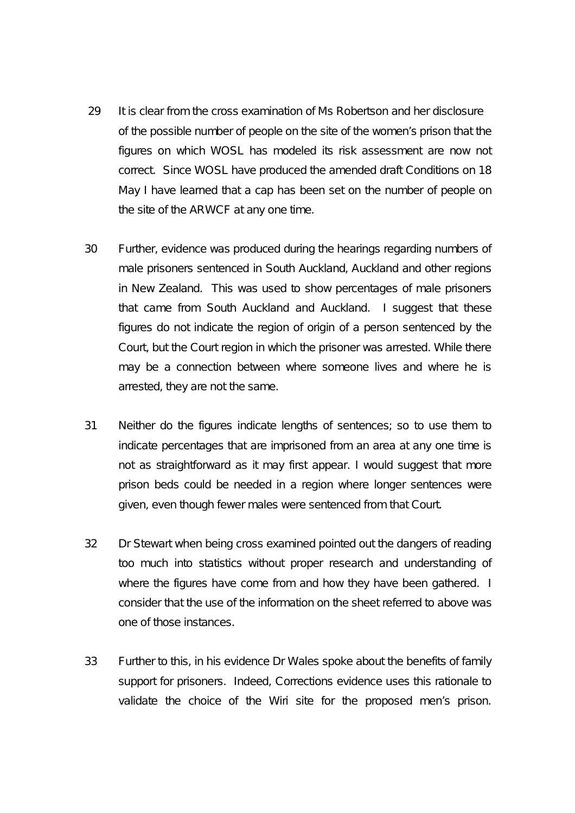- 29 It is clear from the cross examination of Ms Robertson and her disclosure of the possible number of people on the site of the women's prison that the figures on which WOSL has modeled its risk assessment are now not correct. Since WOSL have produced the amended draft Conditions on 18 May I have learned that a cap has been set on the number of people on the site of the ARWCF at any one time.
- 30 Further, evidence was produced during the hearings regarding numbers of male prisoners sentenced in South Auckland, Auckland and other regions in New Zealand. This was used to show percentages of male prisoners that came from South Auckland and Auckland. I suggest that these figures do not indicate the region of origin of a person sentenced by the Court, but the Court region in which the prisoner was arrested. While there may be a connection between where someone lives and where he is arrested, they are not the same.
- 31 Neither do the figures indicate lengths of sentences; so to use them to indicate percentages that are imprisoned from an area at any one time is not as straightforward as it may first appear. I would suggest that more prison beds could be needed in a region where longer sentences were given, even though fewer males were sentenced from that Court.
- 32 Dr Stewart when being cross examined pointed out the dangers of reading too much into statistics without proper research and understanding of where the figures have come from and how they have been gathered. I consider that the use of the information on the sheet referred to above was one of those instances.
- 33 Further to this, in his evidence Dr Wales spoke about the benefits of family support for prisoners. Indeed, Corrections evidence uses this rationale to validate the choice of the Wiri site for the proposed men's prison.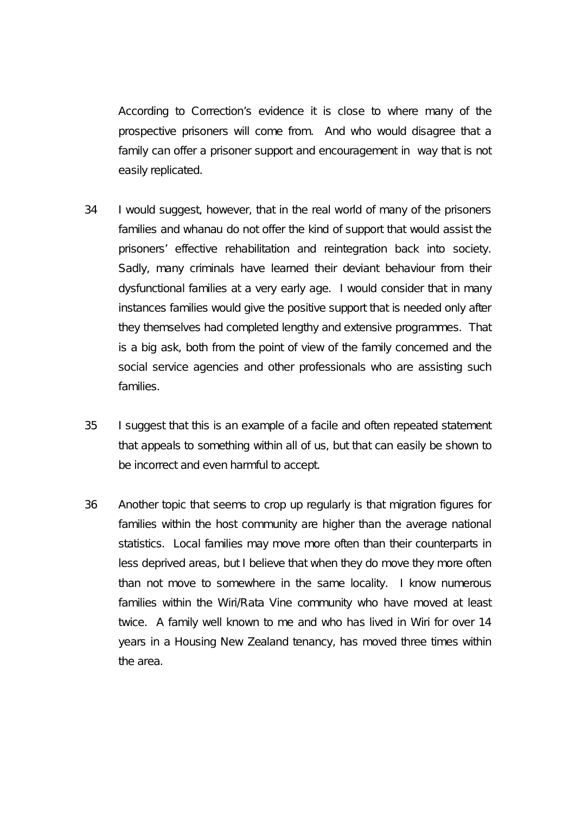According to Correction's evidence it is close to where many of the prospective prisoners will come from. And who would disagree that a family can offer a prisoner support and encouragement in way that is not easily replicated.

- 34 I would suggest, however, that in the real world of many of the prisoners families and whanau do not offer the kind of support that would assist the prisoners' effective rehabilitation and reintegration back into society. Sadly, many criminals have learned their deviant behaviour from their dysfunctional families at a very early age. I would consider that in many instances families would give the positive support that is needed only after they themselves had completed lengthy and extensive programmes. That is a big ask, both from the point of view of the family concerned and the social service agencies and other professionals who are assisting such families.
- 35 I suggest that this is an example of a facile and often repeated statement that appeals to something within all of us, but that can easily be shown to be incorrect and even harmful to accept.
- 36 Another topic that seems to crop up regularly is that migration figures for families within the host community are higher than the average national statistics. Local families may move more often than their counterparts in less deprived areas, but I believe that when they do move they more often than not move to somewhere in the same locality. I know numerous families within the Wiri/Rata Vine community who have moved at least twice. A family well known to me and who has lived in Wiri for over 14 years in a Housing New Zealand tenancy, has moved three times within the area.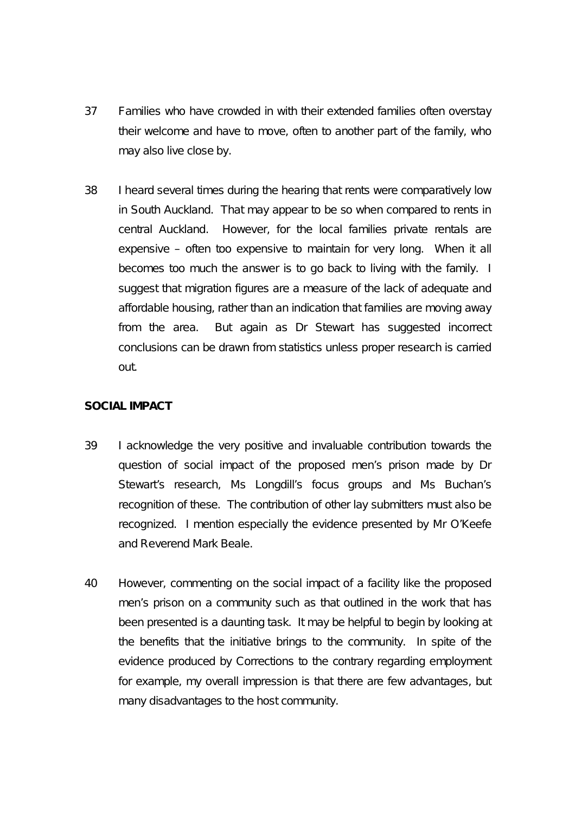- 37 Families who have crowded in with their extended families often overstay their welcome and have to move, often to another part of the family, who may also live close by.
- 38 I heard several times during the hearing that rents were comparatively low in South Auckland. That may appear to be so when compared to rents in central Auckland. However, for the local families private rentals are expensive – often too expensive to maintain for very long. When it all becomes too much the answer is to go back to living with the family. I suggest that migration figures are a measure of the lack of adequate and affordable housing, rather than an indication that families are moving away from the area. But again as Dr Stewart has suggested incorrect conclusions can be drawn from statistics unless proper research is carried out.

# **SOCIAL IMPACT**

- 39 I acknowledge the very positive and invaluable contribution towards the question of social impact of the proposed men's prison made by Dr Stewart's research, Ms Longdill's focus groups and Ms Buchan's recognition of these. The contribution of other lay submitters must also be recognized. I mention especially the evidence presented by Mr O'Keefe and Reverend Mark Beale.
- 40 However, commenting on the social impact of a facility like the proposed men's prison on a community such as that outlined in the work that has been presented is a daunting task. It may be helpful to begin by looking at the benefits that the initiative brings to the community. In spite of the evidence produced by Corrections to the contrary regarding employment for example, my overall impression is that there are few advantages, but many disadvantages to the host community.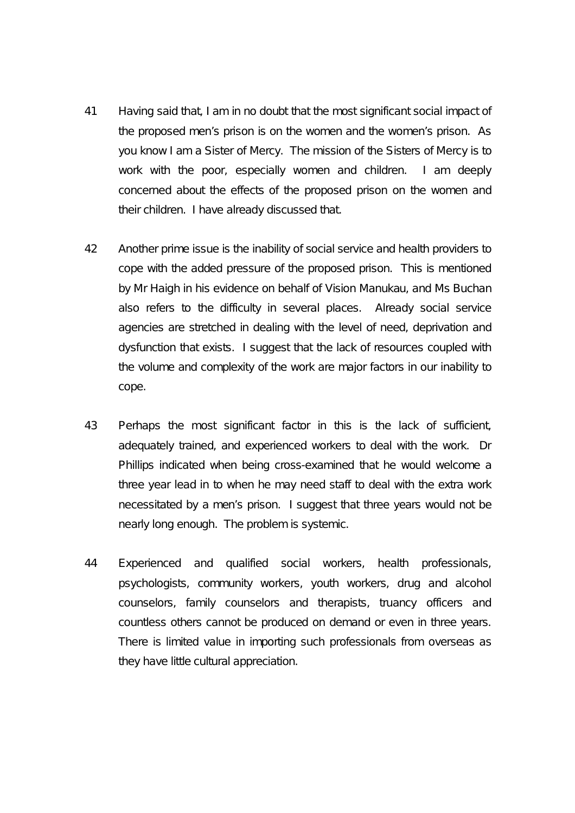- 41 Having said that, I am in no doubt that the most significant social impact of the proposed men's prison is on the women and the women's prison. As you know I am a Sister of Mercy. The mission of the Sisters of Mercy is to work with the poor, especially women and children. I am deeply concerned about the effects of the proposed prison on the women and their children. I have already discussed that.
- 42 Another prime issue is the inability of social service and health providers to cope with the added pressure of the proposed prison. This is mentioned by Mr Haigh in his evidence on behalf of Vision Manukau, and Ms Buchan also refers to the difficulty in several places. Already social service agencies are stretched in dealing with the level of need, deprivation and dysfunction that exists. I suggest that the lack of resources coupled with the volume and complexity of the work are major factors in our inability to cope.
- 43 Perhaps the most significant factor in this is the lack of sufficient, adequately trained, and experienced workers to deal with the work. Dr Phillips indicated when being cross-examined that he would welcome a three year lead in to when he may need staff to deal with the extra work necessitated by a men's prison. I suggest that three years would not be nearly long enough. The problem is systemic.
- 44 Experienced and qualified social workers, health professionals, psychologists, community workers, youth workers, drug and alcohol counselors, family counselors and therapists, truancy officers and countless others cannot be produced on demand or even in three years. There is limited value in importing such professionals from overseas as they have little cultural appreciation.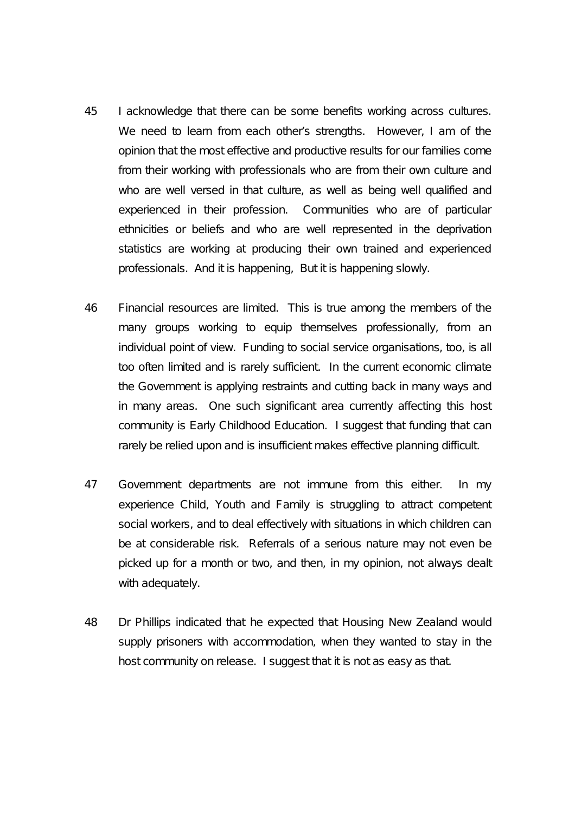- 45 I acknowledge that there can be some benefits working across cultures. We need to learn from each other's strengths. However, I am of the opinion that the most effective and productive results for our families come from their working with professionals who are from their own culture and who are well versed in that culture, as well as being well qualified and experienced in their profession. Communities who are of particular ethnicities or beliefs and who are well represented in the deprivation statistics are working at producing their own trained and experienced professionals. And it is happening, But it is happening slowly.
- 46 Financial resources are limited. This is true among the members of the many groups working to equip themselves professionally, from an individual point of view. Funding to social service organisations, too, is all too often limited and is rarely sufficient. In the current economic climate the Government is applying restraints and cutting back in many ways and in many areas. One such significant area currently affecting this host community is Early Childhood Education. I suggest that funding that can rarely be relied upon and is insufficient makes effective planning difficult.
- 47 Government departments are not immune from this either. In my experience Child, Youth and Family is struggling to attract competent social workers, and to deal effectively with situations in which children can be at considerable risk. Referrals of a serious nature may not even be picked up for a month or two, and then, in my opinion, not always dealt with adequately.
- 48 Dr Phillips indicated that he expected that Housing New Zealand would supply prisoners with accommodation, when they wanted to stay in the host community on release. I suggest that it is not as easy as that.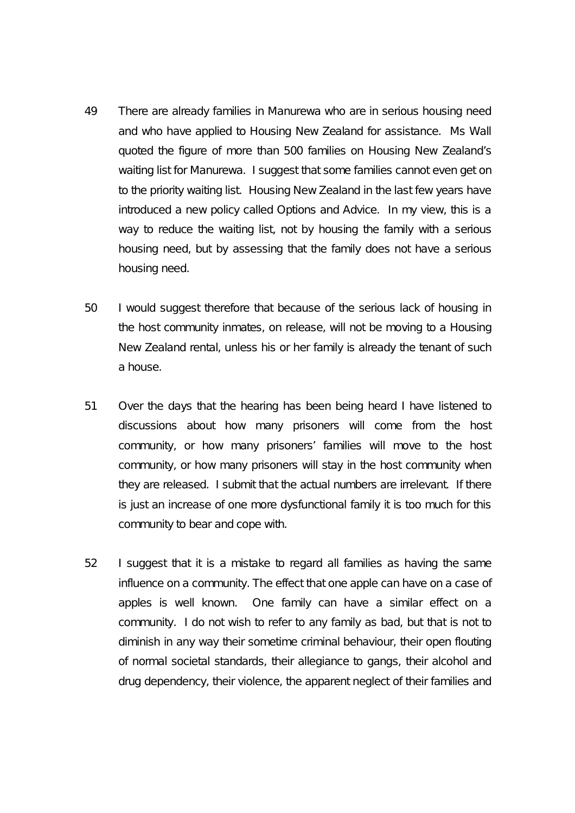- 49 There are already families in Manurewa who are in serious housing need and who have applied to Housing New Zealand for assistance. Ms Wall quoted the figure of more than 500 families on Housing New Zealand's waiting list for Manurewa. I suggest that some families cannot even get on to the priority waiting list. Housing New Zealand in the last few years have introduced a new policy called Options and Advice. In my view, this is a way to reduce the waiting list, not by housing the family with a serious housing need, but by assessing that the family does not have a serious housing need.
- 50 I would suggest therefore that because of the serious lack of housing in the host community inmates, on release, will not be moving to a Housing New Zealand rental, unless his or her family is already the tenant of such a house.
- 51 Over the days that the hearing has been being heard I have listened to discussions about how many prisoners will come from the host community, or how many prisoners' families will move to the host community, or how many prisoners will stay in the host community when they are released. I submit that the actual numbers are irrelevant. If there is just an increase of one more dysfunctional family it is too much for this community to bear and cope with.
- 52 I suggest that it is a mistake to regard all families as having the same influence on a community. The effect that one apple can have on a case of apples is well known. One family can have a similar effect on a community. I do not wish to refer to any family as bad, but that is not to diminish in any way their sometime criminal behaviour, their open flouting of normal societal standards, their allegiance to gangs, their alcohol and drug dependency, their violence, the apparent neglect of their families and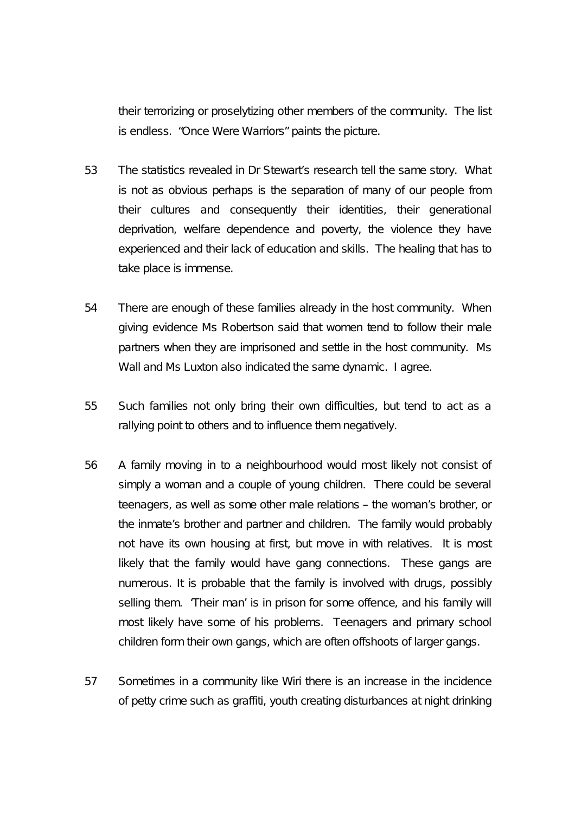their terrorizing or proselytizing other members of the community. The list is endless. "Once Were Warriors" paints the picture.

- 53 The statistics revealed in Dr Stewart's research tell the same story. What is not as obvious perhaps is the separation of many of our people from their cultures and consequently their identities, their generational deprivation, welfare dependence and poverty, the violence they have experienced and their lack of education and skills. The healing that has to take place is immense.
- 54 There are enough of these families already in the host community. When giving evidence Ms Robertson said that women tend to follow their male partners when they are imprisoned and settle in the host community. Ms Wall and Ms Luxton also indicated the same dynamic. I agree.
- 55 Such families not only bring their own difficulties, but tend to act as a rallying point to others and to influence them negatively.
- 56 A family moving in to a neighbourhood would most likely not consist of simply a woman and a couple of young children. There could be several teenagers, as well as some other male relations – the woman's brother, or the inmate's brother and partner and children. The family would probably not have its own housing at first, but move in with relatives. It is most likely that the family would have gang connections. These gangs are numerous. It is probable that the family is involved with drugs, possibly selling them. 'Their man' is in prison for some offence, and his family will most likely have some of his problems. Teenagers and primary school children form their own gangs, which are often offshoots of larger gangs.
- 57 Sometimes in a community like Wiri there is an increase in the incidence of petty crime such as graffiti, youth creating disturbances at night drinking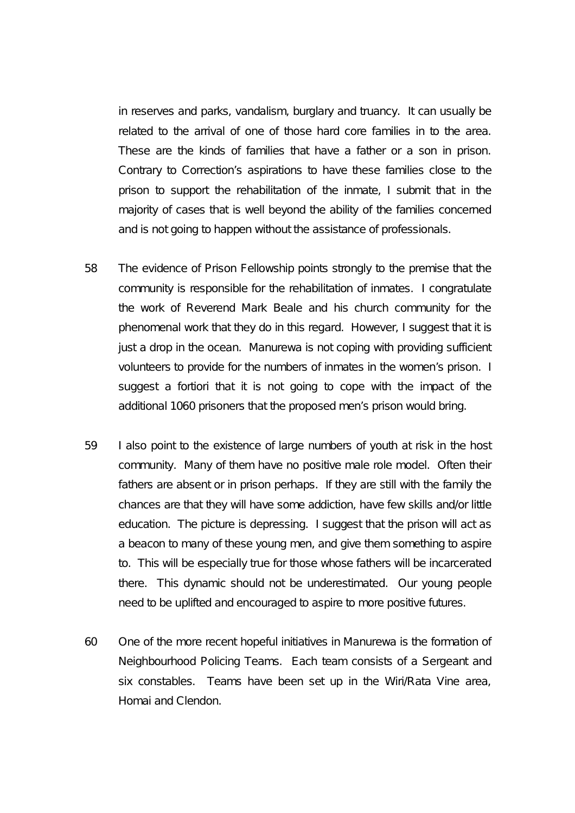in reserves and parks, vandalism, burglary and truancy. It can usually be related to the arrival of one of those hard core families in to the area. These are the kinds of families that have a father or a son in prison. Contrary to Correction's aspirations to have these families close to the prison to support the rehabilitation of the inmate, I submit that in the majority of cases that is well beyond the ability of the families concerned and is not going to happen without the assistance of professionals.

- 58 The evidence of Prison Fellowship points strongly to the premise that the community is responsible for the rehabilitation of inmates. I congratulate the work of Reverend Mark Beale and his church community for the phenomenal work that they do in this regard. However, I suggest that it is just a drop in the ocean. Manurewa is not coping with providing sufficient volunteers to provide for the numbers of inmates in the women's prison. I suggest a fortiori that it is not going to cope with the impact of the additional 1060 prisoners that the proposed men's prison would bring.
- 59 I also point to the existence of large numbers of youth at risk in the host community. Many of them have no positive male role model. Often their fathers are absent or in prison perhaps. If they are still with the family the chances are that they will have some addiction, have few skills and/or little education. The picture is depressing. I suggest that the prison will act as a beacon to many of these young men, and give them something to aspire to. This will be especially true for those whose fathers will be incarcerated there. This dynamic should not be underestimated. Our young people need to be uplifted and encouraged to aspire to more positive futures.
- 60 One of the more recent hopeful initiatives in Manurewa is the formation of Neighbourhood Policing Teams. Each team consists of a Sergeant and six constables. Teams have been set up in the Wiri/Rata Vine area, Homai and Clendon.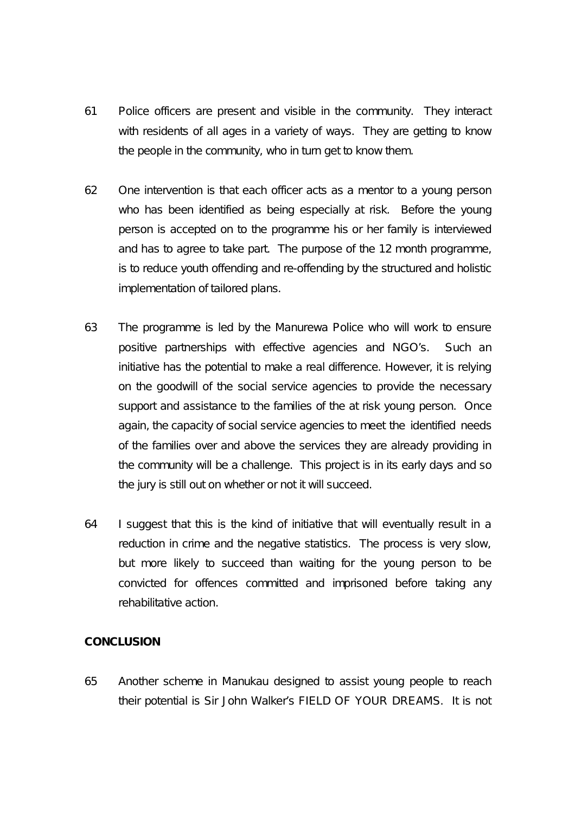- 61 Police officers are present and visible in the community. They interact with residents of all ages in a variety of ways. They are getting to know the people in the community, who in turn get to know them.
- 62 One intervention is that each officer acts as a mentor to a young person who has been identified as being especially at risk. Before the young person is accepted on to the programme his or her family is interviewed and has to agree to take part. The purpose of the 12 month programme, is to reduce youth offending and re-offending by the structured and holistic implementation of tailored plans.
- 63 The programme is led by the Manurewa Police who will work to ensure positive partnerships with effective agencies and NGO's. Such an initiative has the potential to make a real difference. However, it is relying on the goodwill of the social service agencies to provide the necessary support and assistance to the families of the at risk young person. Once again, the capacity of social service agencies to meet the identified needs of the families over and above the services they are already providing in the community will be a challenge. This project is in its early days and so the jury is still out on whether or not it will succeed.
- 64 I suggest that this is the kind of initiative that will eventually result in a reduction in crime and the negative statistics. The process is very slow, but more likely to succeed than waiting for the young person to be convicted for offences committed and imprisoned before taking any rehabilitative action.

## **CONCLUSION**

65 Another scheme in Manukau designed to assist young people to reach their potential is Sir John Walker's FIELD OF YOUR DREAMS. It is not